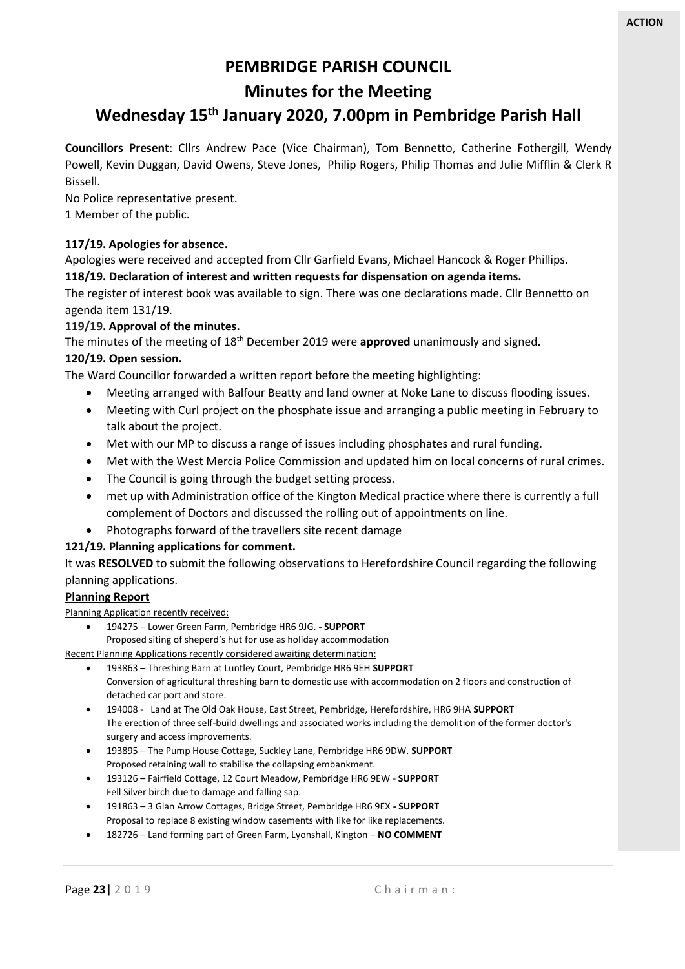# **PEMBRIDGE PARISH COUNCIL**

# **Minutes for the Meeting**

# **Wednesday 15 th January 2020, 7.00pm in Pembridge Parish Hall**

**Councillors Present**: Cllrs Andrew Pace (Vice Chairman), Tom Bennetto, Catherine Fothergill, Wendy Powell, Kevin Duggan, David Owens, Steve Jones, Philip Rogers, Philip Thomas and Julie Mifflin & Clerk R Bissell.

No Police representative present.

1 Member of the public.

#### **117/19. Apologies for absence.**

Apologies were received and accepted from Cllr Garfield Evans, Michael Hancock & Roger Phillips. **118/19. Declaration of interest and written requests for dispensation on agenda items.**

The register of interest book was available to sign. There was one declarations made. Cllr Bennetto on agenda item 131/19.

# **119/19. Approval of the minutes.**

The minutes of the meeting of 18th December 2019 were **approved** unanimously and signed.

#### **120/19. Open session.**

The Ward Councillor forwarded a written report before the meeting highlighting:

- Meeting arranged with Balfour Beatty and land owner at Noke Lane to discuss flooding issues.
- Meeting with Curl project on the phosphate issue and arranging a public meeting in February to talk about the project.
- Met with our MP to discuss a range of issues including phosphates and rural funding.
- Met with the West Mercia Police Commission and updated him on local concerns of rural crimes.
- The Council is going through the budget setting process.
- met up with Administration office of the Kington Medical practice where there is currently a full complement of Doctors and discussed the rolling out of appointments on line.
- Photographs forward of the travellers site recent damage

#### **121/19. Planning applications for comment.**

It was **RESOLVED** to submit the following observations to Herefordshire Council regarding the following planning applications.

#### **Planning Report**

Planning Application recently received:

- 194275 Lower Green Farm, Pembridge HR6 9JG. **- SUPPORT**
- Proposed siting of sheperd's hut for use as holiday accommodation Recent Planning Applications recently considered awaiting determination:
	- 193863 Threshing Barn at Luntley Court, Pembridge HR6 9EH **SUPPORT** Conversion of agricultural threshing barn to domestic use with accommodation on 2 floors and construction of detached car port and store.
	- 194008 Land at The Old Oak House, East Street, Pembridge, Herefordshire, HR6 9HA **SUPPORT** The erection of three self-build dwellings and associated works including the demolition of the former doctor's surgery and access improvements.
	- 193895 The Pump House Cottage, Suckley Lane, Pembridge HR6 9DW. **SUPPORT** Proposed retaining wall to stabilise the collapsing embankment.
	- 193126 Fairfield Cottage, 12 Court Meadow, Pembridge HR6 9EW **SUPPORT** Fell Silver birch due to damage and falling sap.
	- 191863 3 Glan Arrow Cottages, Bridge Street, Pembridge HR6 9EX **- SUPPORT** Proposal to replace 8 existing window casements with like for like replacements.
	- 182726 Land forming part of Green Farm, Lyonshall, Kington **NO COMMENT**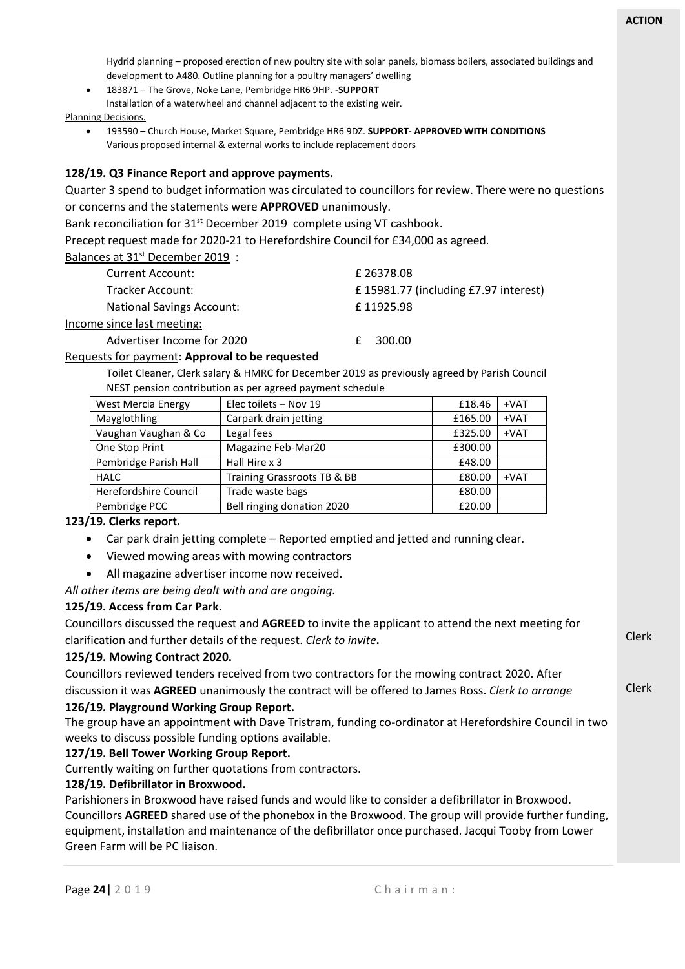Hydrid planning – proposed erection of new poultry site with solar panels, biomass boilers, associated buildings and development to A480. Outline planning for a poultry managers' dwelling

• 183871 – The Grove, Noke Lane, Pembridge HR6 9HP. -**SUPPORT** Installation of a waterwheel and channel adjacent to the existing weir.

Planning Decisions.

• 193590 – Church House, Market Square, Pembridge HR6 9DZ. **SUPPORT- APPROVED WITH CONDITIONS** Various proposed internal & external works to include replacement doors

#### **128/19. Q3 Finance Report and approve payments.**

Quarter 3 spend to budget information was circulated to councillors for review. There were no questions or concerns and the statements were **APPROVED** unanimously.

Bank reconciliation for 31<sup>st</sup> December 2019 complete using VT cashbook.

Precept request made for 2020-21 to Herefordshire Council for £34,000 as agreed.

Balances at 31<sup>st</sup> December 2019 :

| <b>Current Account:</b>          | £26378.08                            |
|----------------------------------|--------------------------------------|
| Tracker Account:                 | £15981.77 (including £7.97 interest) |
| <b>National Savings Account:</b> | £11925.98                            |
| Income since last meeting:       |                                      |
| Advertiser Income for 2020       | 300.00                               |

#### Requests for payment: **Approval to be requested**

Toilet Cleaner, Clerk salary & HMRC for December 2019 as previously agreed by Parish Council NEST pension contribution as per agreed payment schedule

| <b>West Mercia Energy</b> | Elec toilets - Nov 19       | £18.46  | $+VAT$ |
|---------------------------|-----------------------------|---------|--------|
| Mayglothling              | Carpark drain jetting       | £165.00 | $+VAT$ |
| Vaughan Vaughan & Co      | Legal fees                  | £325.00 | $+VAT$ |
| One Stop Print            | Magazine Feb-Mar20          | £300.00 |        |
| Pembridge Parish Hall     | Hall Hire x 3               | £48.00  |        |
| <b>HALC</b>               | Training Grassroots TB & BB | £80.00  | $+VAT$ |
| Herefordshire Council     | Trade waste bags            | £80.00  |        |
| Pembridge PCC             | Bell ringing donation 2020  | £20.00  |        |

# **123/19. Clerks report.**

- Car park drain jetting complete Reported emptied and jetted and running clear.
- Viewed mowing areas with mowing contractors
- All magazine advertiser income now received.

*All other items are being dealt with and are ongoing.*

#### **125/19. Access from Car Park.**

Clerk Clerk Councillors discussed the request and **AGREED** to invite the applicant to attend the next meeting for clarification and further details of the request. *Clerk to invite***. 125/19. Mowing Contract 2020.** Councillors reviewed tenders received from two contractors for the mowing contract 2020. After discussion it was **AGREED** unanimously the contract will be offered to James Ross. *Clerk to arrange*

# **126/19. Playground Working Group Report.**

The group have an appointment with Dave Tristram, funding co-ordinator at Herefordshire Council in two weeks to discuss possible funding options available.

# **127/19. Bell Tower Working Group Report.**

Currently waiting on further quotations from contractors.

# **128/19. Defibrillator in Broxwood.**

Parishioners in Broxwood have raised funds and would like to consider a defibrillator in Broxwood. Councillors **AGREED** shared use of the phonebox in the Broxwood. The group will provide further funding, equipment, installation and maintenance of the defibrillator once purchased. Jacqui Tooby from Lower Green Farm will be PC liaison.